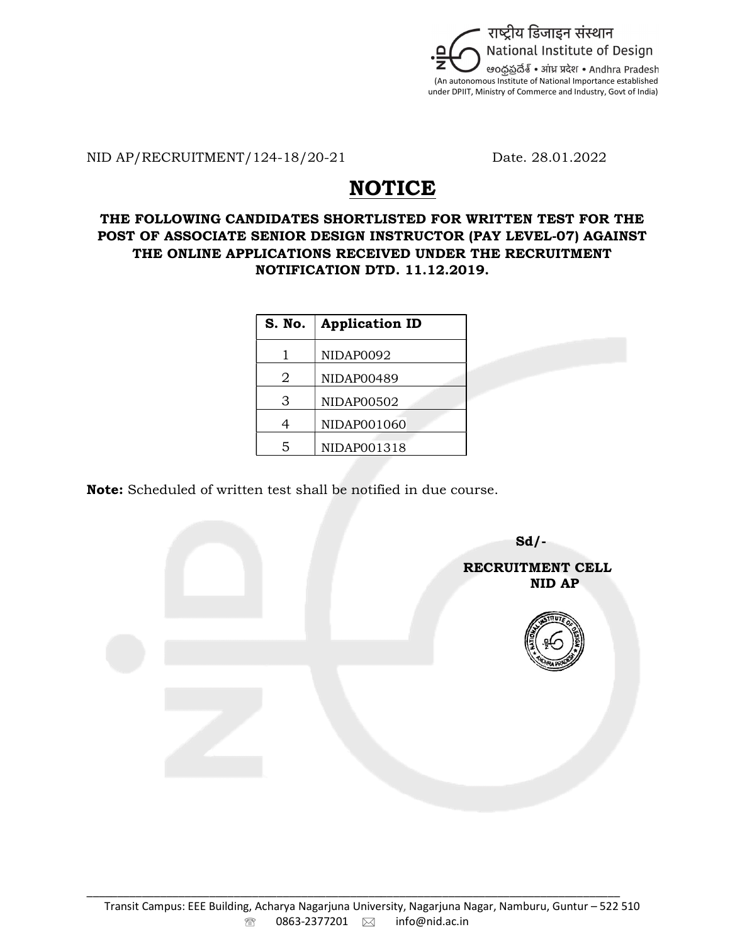

NID AP/RECRUITMENT/124-18/20-21 Date. 28.01.2022

## **NOTICE**

## THE FOLLOWING CANDIDATES SHORTLISTED FOR WRITTEN TEST FOR THE POST OF ASSOCIATE SENIOR DESIGN INSTRUCTOR (PAY LEVEL-07) AGAINST THE ONLINE APPLICATIONS RECEIVED UNDER THE RECRUITMENT NOTIFICATION DTD. 11.12.2019.

| S. No. | <b>Application ID</b> |
|--------|-----------------------|
| 1      | NIDAP0092             |
| 2      | NIDAP00489            |
| З      | NIDAP00502            |
| 4      | NIDAP001060           |
| 5      | NIDAP001318           |

Note: Scheduled of written test shall be notified in due course.

 $Sd$ - RECRUITMENT CELL ning and the state of the state of the state of the state  $\bf{NID}$   $\bf{AP}$ 

\_\_\_\_\_\_\_\_\_\_\_\_\_\_\_\_\_\_\_\_\_\_\_\_\_\_\_\_\_\_\_\_\_\_\_\_\_\_\_\_\_\_\_\_\_\_\_\_\_\_\_\_\_\_\_\_\_\_\_\_\_\_\_\_\_\_\_\_\_\_\_\_\_\_\_\_\_\_\_\_\_\_\_\_\_\_\_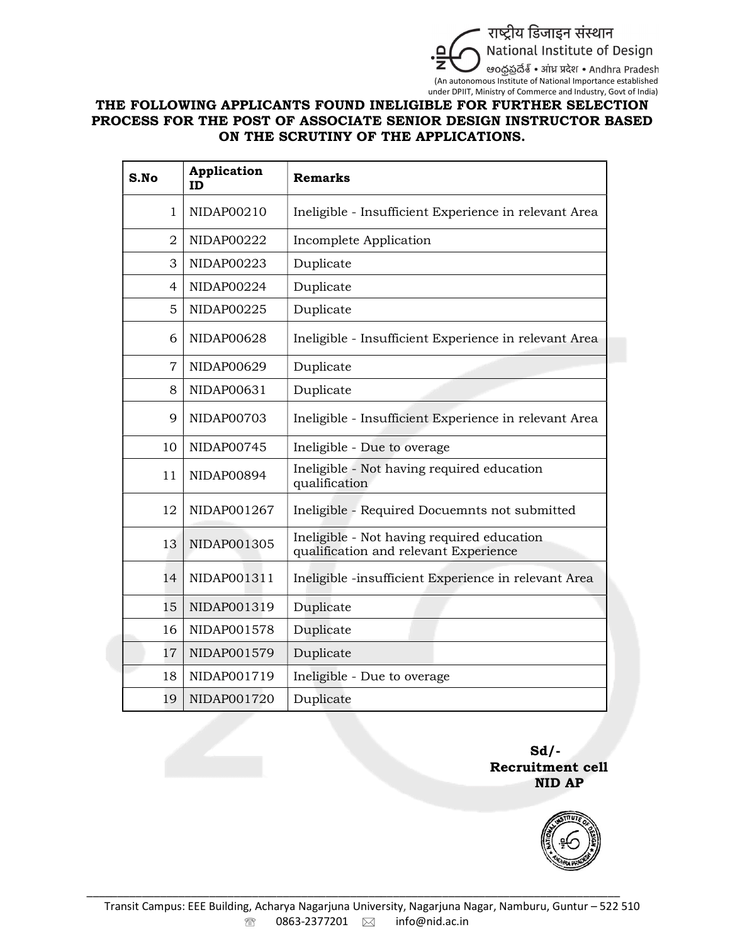

## THE FOLLOWING APPLICANTS FOUND INELIGIBLE FOR FURTHER SELECTION PROCESS FOR THE POST OF ASSOCIATE SENIOR DESIGN INSTRUCTOR BASED ON THE SCRUTINY OF THE APPLICATIONS.

| S.No                         | Application<br><b>ID</b> | <b>Remarks</b>                                                                      |
|------------------------------|--------------------------|-------------------------------------------------------------------------------------|
| $\mathbf 1$                  | NIDAP00210               | Ineligible - Insufficient Experience in relevant Area                               |
| $\overline{2}$               | NIDAP00222               | Incomplete Application                                                              |
| 3                            | NIDAP00223               | Duplicate                                                                           |
| $\overline{4}$<br>NIDAP00224 |                          | Duplicate                                                                           |
| 5                            | NIDAP00225               | Duplicate                                                                           |
| 6                            | NIDAP00628               | Ineligible - Insufficient Experience in relevant Area                               |
| 7                            | NIDAP00629               | Duplicate                                                                           |
| 8                            | NIDAP00631               | Duplicate                                                                           |
| $\mathbf Q$                  | NIDAP00703               | Ineligible - Insufficient Experience in relevant Area                               |
| 10                           | NIDAP00745               | Ineligible - Due to overage                                                         |
| 11                           | NIDAP00894               | Ineligible - Not having required education<br>qualification                         |
| 12                           | NIDAP001267              | Ineligible - Required Docuemnts not submitted                                       |
| 13                           | NIDAP001305              | Ineligible - Not having required education<br>qualification and relevant Experience |
| 14                           | NIDAP001311              | Ineligible -insufficient Experience in relevant Area                                |
| 15                           | NIDAP001319              | Duplicate                                                                           |
| 16                           | NIDAP001578              | Duplicate                                                                           |
| 17                           | NIDAP001579              | Duplicate                                                                           |
| 18                           | NIDAP001719              | Ineligible - Due to overage                                                         |
| 19                           | NIDAP001720              | Duplicate                                                                           |

Sd/- Recruitment cell NID AP



\_\_\_\_\_\_\_\_\_\_\_\_\_\_\_\_\_\_\_\_\_\_\_\_\_\_\_\_\_\_\_\_\_\_\_\_\_\_\_\_\_\_\_\_\_\_\_\_\_\_\_\_\_\_\_\_\_\_\_\_\_\_\_\_\_\_\_\_\_\_\_\_\_\_\_\_\_\_\_\_\_\_\_\_\_\_\_